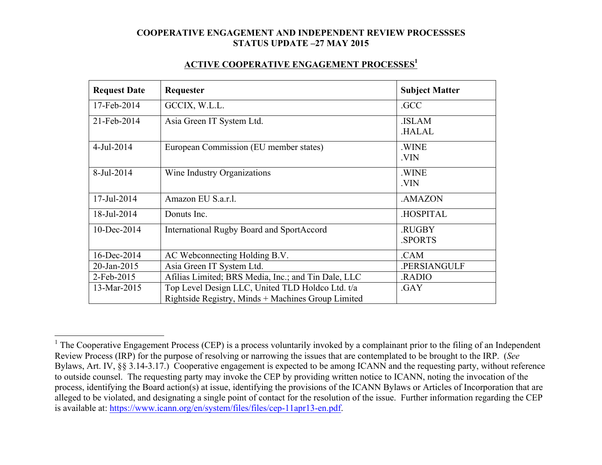#### **ACTIVE COOPERATIVE ENGAGEMENT PROCESSES1**

| <b>Request Date</b> | Requester                                           | <b>Subject Matter</b>   |
|---------------------|-----------------------------------------------------|-------------------------|
| 17-Feb-2014         | GCCIX, W.L.L.                                       | .GCC                    |
| 21-Feb-2014         | Asia Green IT System Ltd.                           | .ISLAM<br><b>HALAL</b>  |
| $4$ -Jul-2014       | European Commission (EU member states)              | .WINE<br>.VIN           |
| 8-Jul-2014          | Wine Industry Organizations                         | .WINE<br>.VIN           |
| 17-Jul-2014         | Amazon EU S.a.r.l.                                  | .AMAZON                 |
| 18-Jul-2014         | Donuts Inc.                                         | <b>HOSPITAL</b>         |
| 10-Dec-2014         | International Rugby Board and SportAccord           | .RUGBY<br><b>SPORTS</b> |
| 16-Dec-2014         | AC Webconnecting Holding B.V.                       | .CAM                    |
| 20-Jan-2015         | Asia Green IT System Ltd.                           | .PERSIANGULF            |
| 2-Feb-2015          | Afilias Limited; BRS Media, Inc.; and Tin Dale, LLC | .RADIO                  |
| 13-Mar-2015         | Top Level Design LLC, United TLD Holdco Ltd. t/a    | .GAY                    |
|                     | Rightside Registry, Minds + Machines Group Limited  |                         |

<sup>&</sup>lt;sup>1</sup> The Cooperative Engagement Process (CEP) is a process voluntarily invoked by a complainant prior to the filing of an Independent Review Process (IRP) for the purpose of resolving or narrowing the issues that are contemplated to be brought to the IRP. (*See* Bylaws, Art. IV, §§ 3.14-3.17.) Cooperative engagement is expected to be among ICANN and the requesting party, without reference to outside counsel. The requesting party may invoke the CEP by providing written notice to ICANN, noting the invocation of the process, identifying the Board action(s) at issue, identifying the provisions of the ICANN Bylaws or Articles of Incorporation that are alleged to be violated, and designating a single point of contact for the resolution of the issue. Further information regarding the CEP is available at: https://www.icann.org/en/system/files/files/cep-11apr13-en.pdf.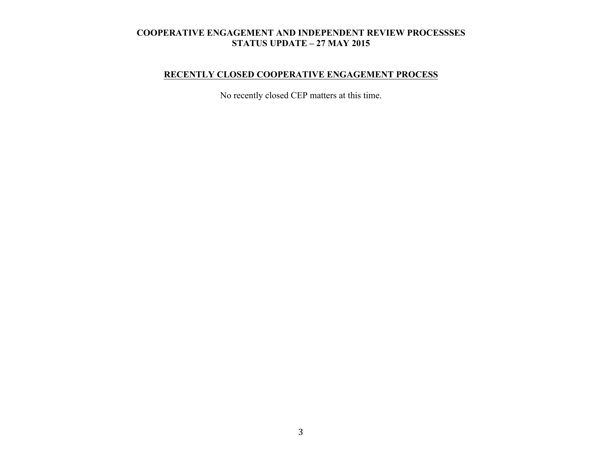# **RECENTLY CLOSED COOPERATIVE ENGAGEMENT PROCESS**

No recently closed CEP matters at this time.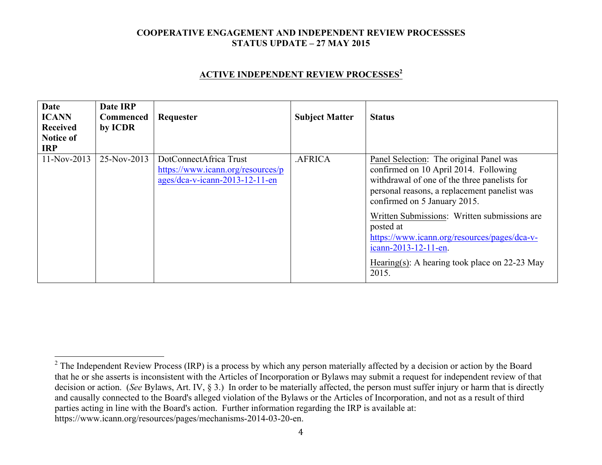### **ACTIVE INDEPENDENT REVIEW PROCESSES<sup>2</sup>**

| Date<br><b>ICANN</b><br>Received<br><b>Notice of</b><br><b>IRP</b> | Date IRP<br><b>Commenced</b><br>by ICDR | Requester                                                                                     | <b>Subject Matter</b> | <b>Status</b>                                                                                                                                                                                                                                                                                                                                                                                                     |
|--------------------------------------------------------------------|-----------------------------------------|-----------------------------------------------------------------------------------------------|-----------------------|-------------------------------------------------------------------------------------------------------------------------------------------------------------------------------------------------------------------------------------------------------------------------------------------------------------------------------------------------------------------------------------------------------------------|
| $11-Nov-2013$                                                      | 25-Nov-2013                             | DotConnectAfrica Trust<br>https://www.icann.org/resources/p<br>ages/dca-v-icann-2013-12-11-en | .AFRICA               | Panel Selection: The original Panel was<br>confirmed on 10 April 2014. Following<br>withdrawal of one of the three panelists for<br>personal reasons, a replacement panelist was<br>confirmed on 5 January 2015.<br>Written Submissions: Written submissions are<br>posted at<br>https://www.icann.org/resources/pages/dca-v-<br>icann-2013-12-11-en.<br>Hearing(s): A hearing took place on $22-23$ May<br>2015. |

<sup>&</sup>lt;sup>2</sup> The Independent Review Process (IRP) is a process by which any person materially affected by a decision or action by the Board that he or she asserts is inconsistent with the Articles of Incorporation or Bylaws may submit a request for independent review of that decision or action. (*See* Bylaws, Art. IV, § 3.) In order to be materially affected, the person must suffer injury or harm that is directly and causally connected to the Board's alleged violation of the Bylaws or the Articles of Incorporation, and not as a result of third parties acting in line with the Board's action. Further information regarding the IRP is available at: https://www.icann.org/resources/pages/mechanisms-2014-03-20-en.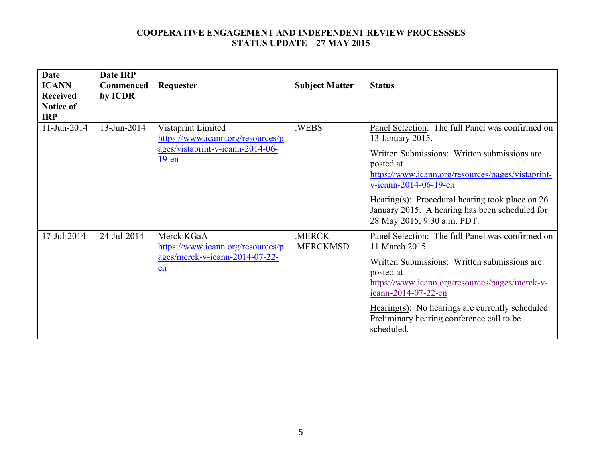| <b>Date</b><br><b>ICANN</b><br><b>Received</b><br><b>Notice of</b><br><b>IRP</b> | <b>Date IRP</b><br><b>Commenced</b><br>by ICDR | Requester                                                                                               | <b>Subject Matter</b> | <b>Status</b>                                                                                                                                                                                                                                                                                                                                         |
|----------------------------------------------------------------------------------|------------------------------------------------|---------------------------------------------------------------------------------------------------------|-----------------------|-------------------------------------------------------------------------------------------------------------------------------------------------------------------------------------------------------------------------------------------------------------------------------------------------------------------------------------------------------|
| 11-Jun-2014                                                                      | 13-Jun-2014                                    | Vistaprint Limited<br>https://www.icann.org/resources/p<br>ages/vistaprint-v-icann-2014-06-<br>$19$ -en | .WEBS                 | Panel Selection: The full Panel was confirmed on<br>13 January 2015.<br>Written Submissions: Written submissions are<br>posted at<br>https://www.icann.org/resources/pages/vistaprint-<br>v-icann-2014-06-19-en<br>Hearing(s): Procedural hearing took place on $26$<br>January 2015. A hearing has been scheduled for<br>28 May 2015, 9:30 a.m. PDT. |
| 17-Jul-2014                                                                      | 24-Jul-2014                                    | Merck KGaA<br>https://www.icann.org/resources/p<br>ages/merck-v-icann-2014-07-22-<br>en                 | .MERCK<br>.MERCKMSD   | Panel Selection: The full Panel was confirmed on<br>11 March 2015.<br>Written Submissions: Written submissions are<br>posted at<br>https://www.icann.org/resources/pages/merck-v-<br>icann-2014-07-22-en<br>Hearing(s): No hearings are currently scheduled.<br>Preliminary hearing conference call to be<br>scheduled.                               |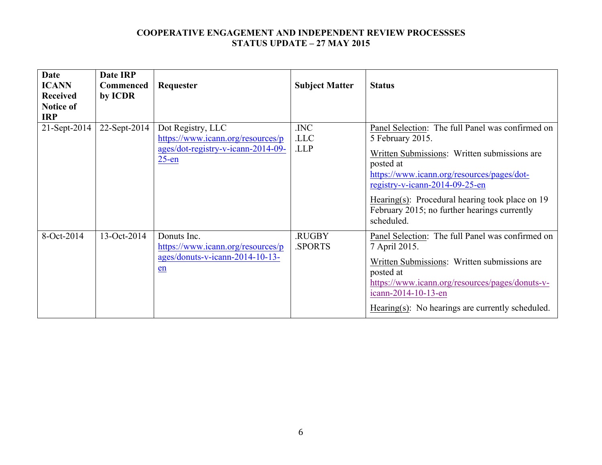| <b>Date</b><br><b>ICANN</b><br><b>Received</b><br><b>Notice of</b><br><b>IRP</b> | Date IRP<br><b>Commenced</b><br>by ICDR | Requester                                                                                                | <b>Subject Matter</b> | <b>Status</b>                                                                                                                                                                                                                                                                                                                      |
|----------------------------------------------------------------------------------|-----------------------------------------|----------------------------------------------------------------------------------------------------------|-----------------------|------------------------------------------------------------------------------------------------------------------------------------------------------------------------------------------------------------------------------------------------------------------------------------------------------------------------------------|
| 21-Sept-2014                                                                     | 22-Sept-2014                            | Dot Registry, LLC<br>https://www.icann.org/resources/p<br>ages/dot-registry-v-icann-2014-09-<br>$25$ -en | .INC<br>.LLC<br>.LLP  | Panel Selection: The full Panel was confirmed on<br>5 February 2015.<br>Written Submissions: Written submissions are<br>posted at<br>https://www.icann.org/resources/pages/dot-<br>registry-v-icann-2014-09-25-en<br>Hearing(s): Procedural hearing took place on 19<br>February 2015; no further hearings currently<br>scheduled. |
| 8-Oct-2014                                                                       | 13-Oct-2014                             | Donuts Inc.<br>https://www.icann.org/resources/p<br>$ages/donuts-v-icann-2014-10-13-$<br>en              | .RUGBY<br>.SPORTS     | Panel Selection: The full Panel was confirmed on<br>7 April 2015.<br>Written Submissions: Written submissions are<br>posted at<br>https://www.icann.org/resources/pages/donuts-v-<br>icann-2014-10-13-en<br>Hearing(s): No hearings are currently scheduled.                                                                       |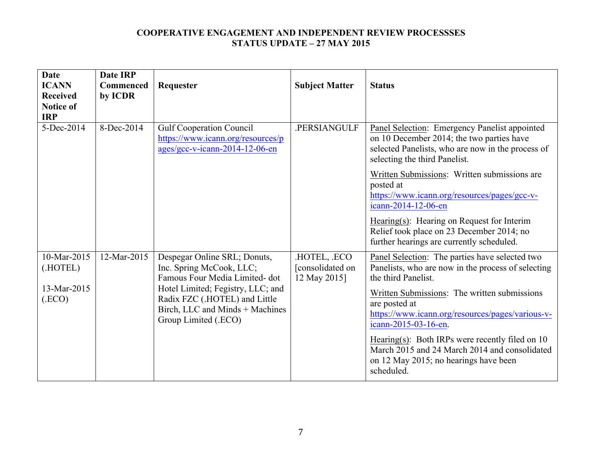| Date<br><b>ICANN</b><br><b>Received</b><br><b>Notice of</b><br><b>IRP</b> | <b>Date IRP</b><br><b>Commenced</b><br>by ICDR | Requester                                                                                                                     | <b>Subject Matter</b>                           | <b>Status</b>                                                                                                                                                                    |
|---------------------------------------------------------------------------|------------------------------------------------|-------------------------------------------------------------------------------------------------------------------------------|-------------------------------------------------|----------------------------------------------------------------------------------------------------------------------------------------------------------------------------------|
| 5-Dec-2014                                                                | 8-Dec-2014                                     | <b>Gulf Cooperation Council</b><br>https://www.icann.org/resources/p<br>ages/gcc-v-icann-2014-12-06-en                        | .PERSIANGULF                                    | Panel Selection: Emergency Panelist appointed<br>on 10 December 2014; the two parties have<br>selected Panelists, who are now in the process of<br>selecting the third Panelist. |
|                                                                           |                                                |                                                                                                                               |                                                 | Written Submissions: Written submissions are<br>posted at<br>https://www.icann.org/resources/pages/gcc-v-<br>icann-2014-12-06-en                                                 |
|                                                                           |                                                |                                                                                                                               |                                                 | Hearing(s): Hearing on Request for Interim<br>Relief took place on 23 December 2014; no<br>further hearings are currently scheduled.                                             |
| 10-Mar-2015<br>(.HOTEL)                                                   | 12-Mar-2015                                    | Despegar Online SRL; Donuts,<br>Inc. Spring McCook, LLC;<br>Famous Four Media Limited-dot                                     | HOTEL, .ECO<br>[consolidated on<br>12 May 2015] | Panel Selection: The parties have selected two<br>Panelists, who are now in the process of selecting<br>the third Panelist.                                                      |
| 13-Mar-2015<br>(ECO)                                                      |                                                | Hotel Limited; Fegistry, LLC; and<br>Radix FZC (.HOTEL) and Little<br>Birch, LLC and Minds + Machines<br>Group Limited (.ECO) |                                                 | Written Submissions: The written submissions<br>are posted at<br>https://www.icann.org/resources/pages/various-v-<br>icann-2015-03-16-en.                                        |
|                                                                           |                                                |                                                                                                                               |                                                 | Hearing(s): Both IRPs were recently filed on $10$<br>March 2015 and 24 March 2014 and consolidated<br>on 12 May 2015; no hearings have been<br>scheduled.                        |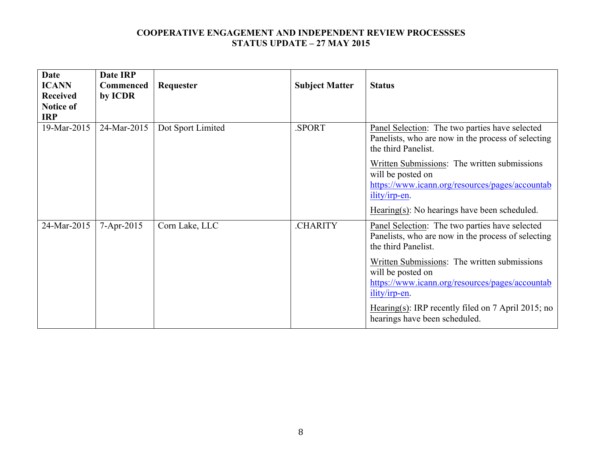| Date<br><b>ICANN</b><br><b>Received</b><br><b>Notice of</b><br><b>IRP</b> | Date IRP<br><b>Commenced</b><br>by ICDR | Requester         | <b>Subject Matter</b> | <b>Status</b>                                                                                                                                                                                                                                                                                                                                                 |
|---------------------------------------------------------------------------|-----------------------------------------|-------------------|-----------------------|---------------------------------------------------------------------------------------------------------------------------------------------------------------------------------------------------------------------------------------------------------------------------------------------------------------------------------------------------------------|
| 19-Mar-2015                                                               | 24-Mar-2015                             | Dot Sport Limited | SPORT.                | Panel Selection: The two parties have selected<br>Panelists, who are now in the process of selecting<br>the third Panelist.<br>Written Submissions: The written submissions<br>will be posted on<br>https://www.icann.org/resources/pages/accountab<br>ility/irp-en.<br>$Hearing(s)$ : No hearings have been scheduled.                                       |
| 24-Mar-2015                                                               | 7-Apr-2015                              | Corn Lake, LLC    | .CHARITY              | Panel Selection: The two parties have selected<br>Panelists, who are now in the process of selecting<br>the third Panelist.<br>Written Submissions: The written submissions<br>will be posted on<br>https://www.icann.org/resources/pages/accountab<br>ility/irp-en.<br>Hearing(s): IRP recently filed on $7$ April 2015; no<br>hearings have been scheduled. |